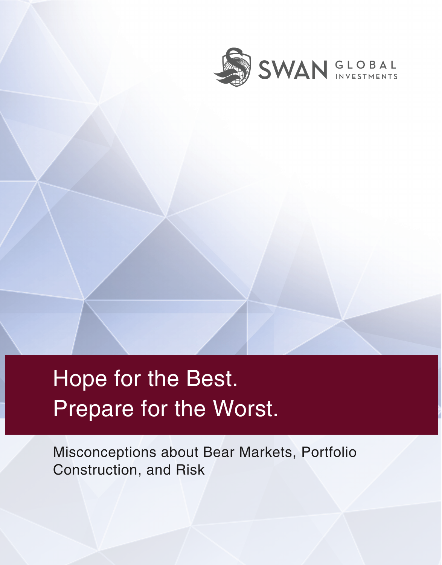

# Hope for the Best. Prepare for the Worst.

Misconceptions about Bear Markets, Portfolio Construction, and Risk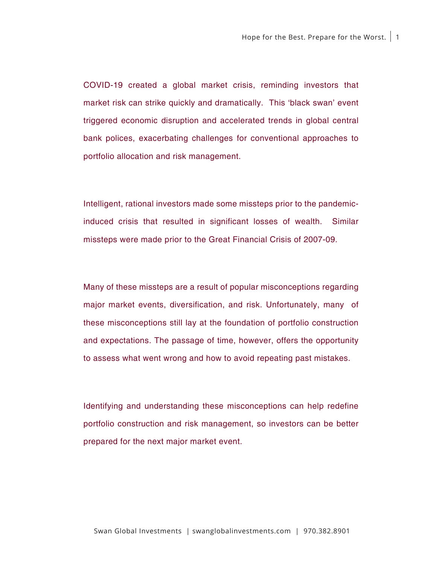COVID-19 created a global market crisis, reminding investors that market risk can strike quickly and dramatically. This 'black swan' event triggered economic disruption and accelerated trends in global central bank polices, exacerbating challenges for conventional approaches to portfolio allocation and risk management.

Intelligent, rational investors made some missteps prior to the pandemicinduced crisis that resulted in significant losses of wealth. Similar missteps were made prior to the Great Financial Crisis of 2007-09.

Many of these missteps are a result of popular misconceptions regarding major market events, diversification, and risk. Unfortunately, many of these misconceptions still lay at the foundation of portfolio construction and expectations. The passage of time, however, offers the opportunity to assess what went wrong and how to avoid repeating past mistakes.

Identifying and understanding these misconceptions can help redefine portfolio construction and risk management, so investors can be better prepared for the next major market event.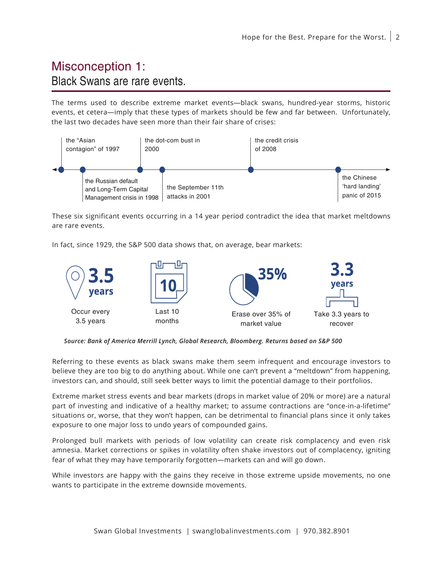### Misconception 1: Black Swans are rare events.

The terms used to describe extreme market events—black swans, hundred-year storms, historic events, et cetera—imply that these types of markets should be few and far between. Unfortunately, the last two decades have seen more than their fair share of crises:



These six significant events occurring in a 14 year period contradict the idea that market meltdowns are rare events.

In fact, since 1929, the S&P 500 data shows that, on average, bear markets:



*Source: Bank of America Merrill Lynch, Global Research, Bloomberg. Returns based on S&P 500*

Referring to these events as black swans make them seem infrequent and encourage investors to believe they are too big to do anything about. While one can't prevent a "meltdown" from happening, investors can, and should, still seek better ways to limit the potential damage to their portfolios.

Extreme market stress events and bear markets (drops in market value of 20% or more) are a natural part of investing and indicative of a healthy market; to assume contractions are "once-in-a-lifetime" situations or, worse, that they won't happen, can be detrimental to financial plans since it only takes exposure to one major loss to undo years of compounded gains.

Prolonged bull markets with periods of low volatility can create risk complacency and even risk amnesia. Market corrections or spikes in volatility often shake investors out of complacency, igniting fear of what they may have temporarily forgotten—markets can and will go down.

While investors are happy with the gains they receive in those extreme upside movements, no one wants to participate in the extreme downside movements.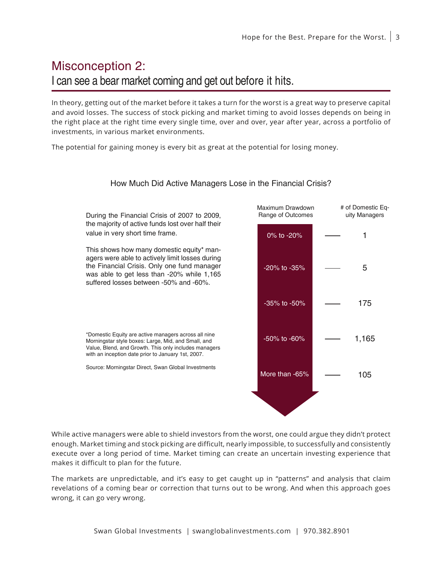### Misconception 2: I can see a bear market coming and get out before it hits.

In theory, getting out of the market before it takes a turn for the worst is a great way to preserve capital and avoid losses. The success of stock picking and market timing to avoid losses depends on being in the right place at the right time every single time, over and over, year after year, across a portfolio of investments, in various market environments.

The potential for gaining money is every bit as great at the potential for losing money.



#### How Much Did Active Managers Lose in the Financial Crisis?

While active managers were able to shield investors from the worst, one could argue they didn't protect enough. Market timing and stock picking are difficult, nearly impossible, to successfully and consistently execute over a long period of time. Market timing can create an uncertain investing experience that makes it difficult to plan for the future.

The markets are unpredictable, and it's easy to get caught up in "patterns" and analysis that claim revelations of a coming bear or correction that turns out to be wrong. And when this approach goes wrong, it can go very wrong.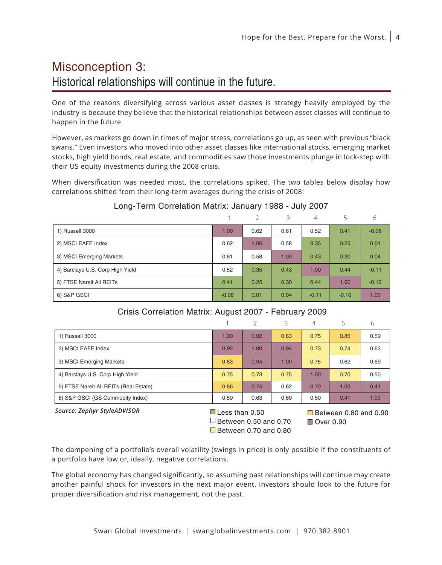# Misconception 3: Historical relationships will continue in the future.

One of the reasons diversifying across various asset classes is strategy heavily employed by the industry is because they believe that the historical relationships between asset classes will continue to happen in the future.

However, as markets go down in times of major stress, correlations go up, as seen with previous "black swans." Even investors who moved into other asset classes like international stocks, emerging market stocks, high yield bonds, real estate, and commodities saw those investments plunge in lock-step with their US equity investments during the 2008 crisis.

When diversification was needed most, the correlations spiked. The two tables below display how correlations shifted from their long-term averages during the crisis of 2008:

|                                  |         | $\mathcal{P}$ | 3    | 4       | 5       | 6       |
|----------------------------------|---------|---------------|------|---------|---------|---------|
| 1) Russell 3000                  | 1.00    | 0.62          | 0.61 | 0.52    | 0.41    | $-0.08$ |
| 2) MSCI EAFE Index               | 0.62    | 1.00          | 0.58 | 0.35    | 0.25    | 0.01    |
| 3) MSCI Emerging Markets         | 0.61    | 0.58          | 1.00 | 0.43    | 0.30    | 0.04    |
| 4) Barclays U.S. Corp High Yield | 0.52    | 0.35          | 0.43 | 1.00    | 0.44    | $-0.11$ |
| 5) FTSE Nareit All REITs         | 0.41    | 0.25          | 0.30 | 0.44    | 1.00    | $-0.10$ |
| 6) S&P GSCI                      | $-0.08$ | 0.01          | 0.04 | $-0.11$ | $-0.10$ | 1.00    |

### Long-Term Correlation Matrix: January 1988 - July 2007

|                                        |      |                | Κ    |      |                       | 6    |  |  |
|----------------------------------------|------|----------------|------|------|-----------------------|------|--|--|
| 1) Russell 3000                        | 1.00 | 0.92           | 0.83 | 0.75 | 0.86                  | 0.59 |  |  |
| 2) MSCI EAFE Index                     | 0.92 | 1.00           | 0.94 | 0.73 | 0.74                  | 0.63 |  |  |
| 3) MSCI Emerging Markets               | 0.83 | 0.94           | 1.00 | 0.75 | 0.62                  | 0.69 |  |  |
| 4) Barclays U.S. Corp High Yield       | 0.75 | 0.73           | 0.75 | 1.00 | 0.70                  | 0.50 |  |  |
| 5) FTSE Nareit All REITs (Real Estate) | 0.86 | 0.74           | 0.62 | 0.70 | 1.00                  | 0.41 |  |  |
| 6) S&P GSCI (GS Commodity Index)       | 0.59 | 0.63           | 0.69 | 0.50 | 0.41                  | 1.00 |  |  |
| Source: Zephyr StyleADVISOR            |      | Less than 0.50 |      |      | Between 0.80 and 0.90 |      |  |  |

 $\blacksquare$  Less than 0.50  $\Box$  Between 0.50 and 0.70 Between 0.70 and 0.80

 $\Box$  Between 0.80 and 0.90 Over 0.90

The dampening of a portfolio's overall volatility (swings in price) is only possible if the constituents of a portfolio have low or, ideally, negative correlations.

The global economy has changed significantly, so assuming past relationships will continue may create another painful shock for investors in the next major event. Investors should look to the future for proper diversification and risk management, not the past.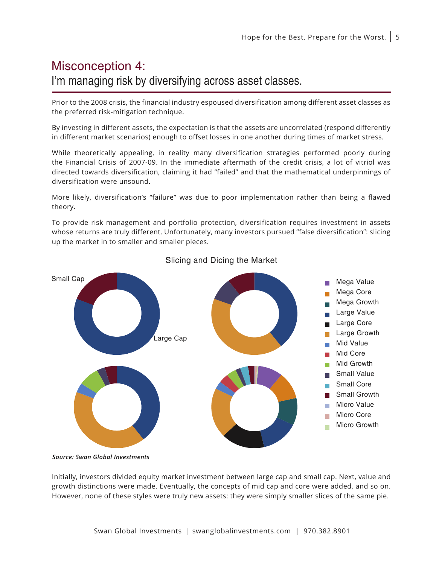# Misconception 4: I'm managing risk by diversifying across asset classes.

Prior to the 2008 crisis, the financial industry espoused diversification among different asset classes as the preferred risk-mitigation technique.

By investing in different assets, the expectation is that the assets are uncorrelated (respond differently in different market scenarios) enough to offset losses in one another during times of market stress.

While theoretically appealing, in reality many diversification strategies performed poorly during the Financial Crisis of 2007-09. In the immediate aftermath of the credit crisis, a lot of vitriol was directed towards diversification, claiming it had "failed" and that the mathematical underpinnings of diversification were unsound.

More likely, diversification's "failure" was due to poor implementation rather than being a flawed theory.

To provide risk management and portfolio protection, diversification requires investment in assets whose returns are truly different. Unfortunately, many investors pursued "false diversification": slicing up the market in to smaller and smaller pieces.



### Slicing and Dicing the Market

*Source: Swan Global Investments*

Initially, investors divided equity market investment between large cap and small cap. Next, value and growth distinctions were made. Eventually, the concepts of mid cap and core were added, and so on. However, none of these styles were truly new assets: they were simply smaller slices of the same pie.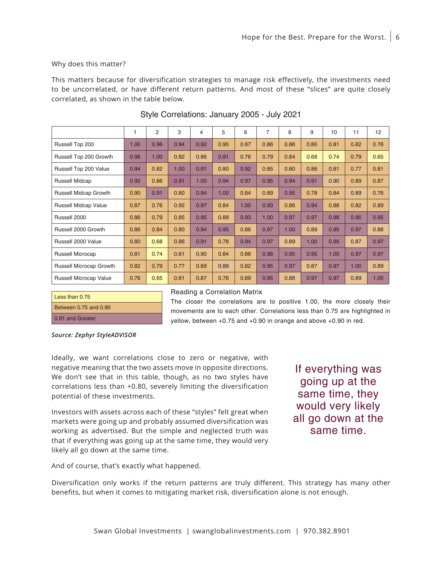#### Why does this matter?

This matters because for diversification strategies to manage risk effectively, the investments need to be uncorrelated, or have different return patterns. And most of these "slices" are quite closely correlated, as shown in the table below.

|                              | 1    | $\overline{2}$ | 3    | 4    | 5    | 6    | 7    | 8    | 9    | 10   | 11   | 12   |
|------------------------------|------|----------------|------|------|------|------|------|------|------|------|------|------|
| Russell Top 200              | 1.00 | 0.96           | 0.94 | 0.92 | 0.90 | 0.87 | 0.86 | 0.86 | 0.80 | 0.81 | 0.82 | 0.76 |
| Russell Top 200 Growth       | 0.96 | 1.00           | 0.82 | 0.86 | 0.91 | 0.76 | 0.79 | 0.84 | 0.68 | 0.74 | 0.79 | 0.65 |
| Russell Top 200 Value        | 0.94 | 0.82           | 1.00 | 0.91 | 0.80 | 0.92 | 0.85 | 0.80 | 0.86 | 0.81 | 0.77 | 0.81 |
| Russell Midcap               | 0.92 | 0.86           | 0.91 | 1.00 | 0.94 | 0.97 | 0.95 | 0.94 | 0.91 | 0.90 | 0.89 | 0.87 |
| <b>Russell Midcap Growth</b> | 0.90 | 0.91           | 0.80 | 0.94 | 1.00 | 0.84 | 0.89 | 0.95 | 0.78 | 0.84 | 0.89 | 0.76 |
| <b>Russell Midcap Value</b>  | 0.87 | 0.76           | 0.92 | 0.97 | 0.84 | 1.00 | 0.93 | 0.86 | 0.94 | 0.88 | 0.82 | 0.89 |
| Russell 2000                 | 0.86 | 0.79           | 0.85 | 0.95 | 0.89 | 0.93 | 1.00 | 0.97 | 0.97 | 0.98 | 0.95 | 0.95 |
| Russell 2000 Growth          | 0.86 | 0.84           | 0.80 | 0.94 | 0.95 | 0.86 | 0.97 | 1.00 | 0.89 | 0.95 | 0.97 | 0.88 |
| Russell 2000 Value           | 0.80 | 0.68           | 0.86 | 0.91 | 0.78 | 0.94 | 0.97 | 0.89 | 1.00 | 0.95 | 0.87 | 0.97 |
| <b>Russell Microcap</b>      | 0.81 | 0.74           | 0.81 | 0.90 | 0.84 | 0.88 | 0.98 | 0.95 | 0.95 | 1.00 | 0.97 | 0.97 |
| Russell Microcap Growth      | 0.82 | 0.79           | 0.77 | 0.89 | 0.89 | 0.82 | 0.95 | 0.97 | 0.87 | 0.97 | 1.00 | 0.89 |
| Russell Microcap Value       | 0.76 | 0.65           | 0.81 | 0.87 | 0.76 | 0.89 | 0.95 | 0.88 | 0.97 | 0.97 | 0.89 | 1.00 |

#### Style Correlations: January 2005 - July 2021

| Less than 0.75            |
|---------------------------|
| Between $0.75$ and $0.90$ |
| 0.91 and Greater          |

#### Reading a Correlation Matrix

The closer the correlations are to positive 1.00, the more closely their movements are to each other. Correlations less than 0.75 are highlighted in yellow, between +0.75 and +0.90 in orange and above +0.90 in red.

*Source: Zephyr StyleADVISOR*

Ideally, we want correlations close to zero or negative, with negative meaning that the two assets move in opposite directions. We don't see that in this table, though, as no two styles have correlations less than +0.80, severely limiting the diversification potential of these investments.

Investors with assets across each of these "styles" felt great when markets were going up and probably assumed diversification was working as advertised. But the simple and neglected truth was that if everything was going up at the same time, they would very likely all go down at the same time.

If everything was going up at the same time, they would very likely all go down at the same time.

And of course, that's exactly what happened.

Diversification only works if the return patterns are truly different. This strategy has many other benefits, but when it comes to mitigating market risk, diversification alone is not enough.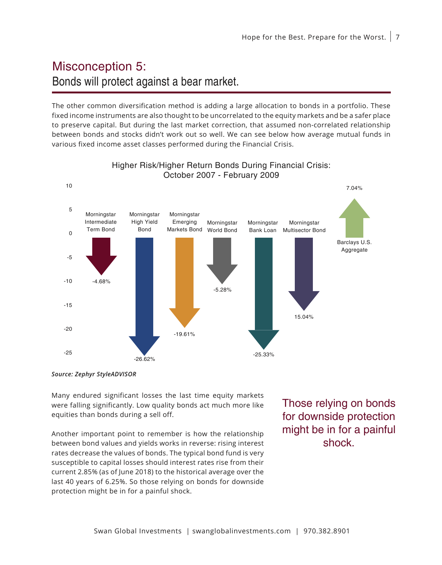# Misconception 5: Bonds will protect against a bear market.

The other common diversification method is adding a large allocation to bonds in a portfolio. These fixed income instruments are also thought to be uncorrelated to the equity markets and be a safer place to preserve capital. But during the last market correction, that assumed non-correlated relationship between bonds and stocks didn't work out so well. We can see below how average mutual funds in various fixed income asset classes performed during the Financial Crisis.



Higher Risk/Higher Return Bonds During Financial Crisis: October 2007 - February 2009

Many endured significant losses the last time equity markets were falling significantly. Low quality bonds act much more like equities than bonds during a sell off.

Another important point to remember is how the relationship between bond values and yields works in reverse: rising interest rates decrease the values of bonds. The typical bond fund is very susceptible to capital losses should interest rates rise from their current 2.85% (as of June 2018) to the historical average over the last 40 years of 6.25%. So those relying on bonds for downside protection might be in for a painful shock.

Those relying on bonds for downside protection might be in for a painful shock.

*Source: Zephyr StyleADVISOR*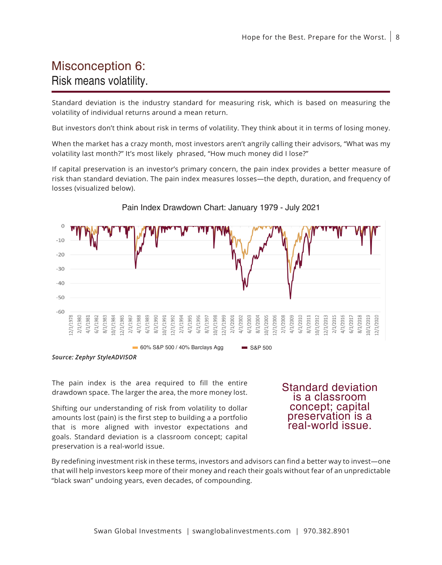### Misconception 6: Risk means volatility.

Standard deviation is the industry standard for measuring risk, which is based on measuring the volatility of individual returns around a mean return.

But investors don't think about risk in terms of volatility. They think about it in terms of losing money.

When the market has a crazy month, most investors aren't angrily calling their advisors, "What was my volatility last month?" It's most likely phrased, "How much money did I lose?"

If capital preservation is an investor's primary concern, the pain index provides a better measure of risk than standard deviation. The pain index measures losses—the depth, duration, and frequency of losses (visualized below).



#### Pain Index Drawdown Chart: January 1979 - July 2021

*Source: Zephyr StyleADVISOR*

The pain index is the area required to fill the entire drawdown space. The larger the area, the more money lost.

Shifting our understanding of risk from volatility to dollar amounts lost (pain) is the first step to building a a portfolio that is more aligned with investor expectations and goals. Standard deviation is a classroom concept; capital preservation is a real-world issue.

Standard deviation is a classroom concept; capital preservation is a real-world issue.

By redefining investment risk in these terms, investors and advisors can find a better way to invest—one that will help investors keep more of their money and reach their goals without fear of an unpredictable "black swan" undoing years, even decades, of compounding.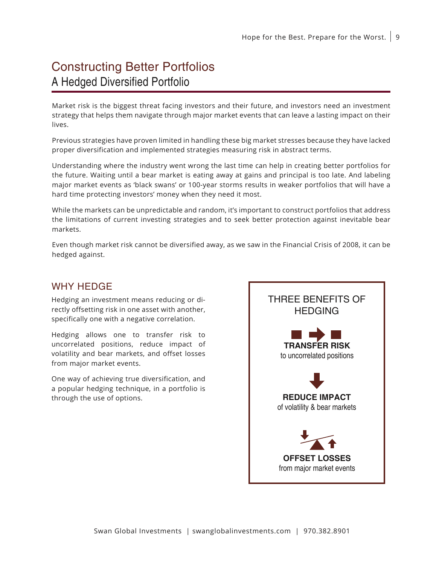### Constructing Better Portfolios A Hedged Diversified Portfolio

Market risk is the biggest threat facing investors and their future, and investors need an investment strategy that helps them navigate through major market events that can leave a lasting impact on their lives.

Previous strategies have proven limited in handling these big market stresses because they have lacked proper diversification and implemented strategies measuring risk in abstract terms.

Understanding where the industry went wrong the last time can help in creating better portfolios for the future. Waiting until a bear market is eating away at gains and principal is too late. And labeling major market events as 'black swans' or 100-year storms results in weaker portfolios that will have a hard time protecting investors' money when they need it most.

While the markets can be unpredictable and random, it's important to construct portfolios that address the limitations of current investing strategies and to seek better protection against inevitable bear markets.

Even though market risk cannot be diversified away, as we saw in the Financial Crisis of 2008, it can be hedged against.

### WHY HEDGE

Hedging an investment means reducing or directly offsetting risk in one asset with another, specifically one with a negative correlation.

Hedging allows one to transfer risk to uncorrelated positions, reduce impact of volatility and bear markets, and offset losses from major market events.

One way of achieving true diversification, and a popular hedging technique, in a portfolio is through the use of options.

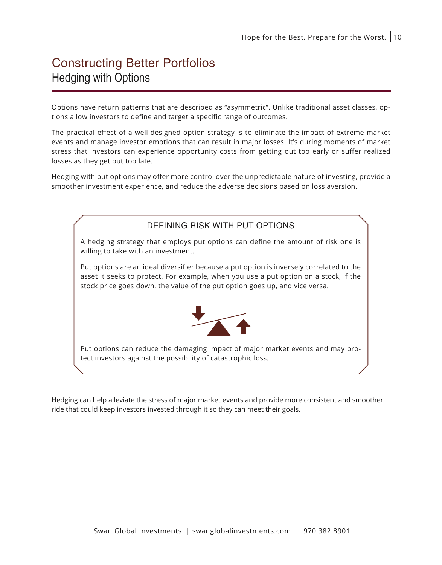### Constructing Better Portfolios Hedging with Options

Options have return patterns that are described as "asymmetric". Unlike traditional asset classes, options allow investors to define and target a specific range of outcomes.

The practical effect of a well-designed option strategy is to eliminate the impact of extreme market events and manage investor emotions that can result in major losses. It's during moments of market stress that investors can experience opportunity costs from getting out too early or suffer realized losses as they get out too late.

Hedging with put options may offer more control over the unpredictable nature of investing, provide a smoother investment experience, and reduce the adverse decisions based on loss aversion.



Hedging can help alleviate the stress of major market events and provide more consistent and smoother ride that could keep investors invested through it so they can meet their goals.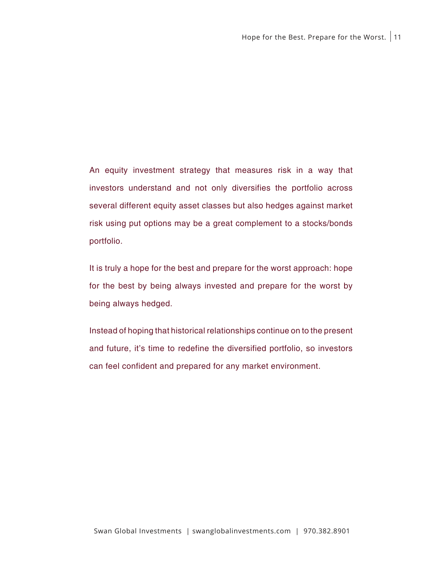An equity investment strategy that measures risk in a way that investors understand and not only diversifies the portfolio across several different equity asset classes but also hedges against market risk using put options may be a great complement to a stocks/bonds portfolio.

It is truly a hope for the best and prepare for the worst approach: hope for the best by being always invested and prepare for the worst by being always hedged.

Instead of hoping that historical relationships continue on to the present and future, it's time to redefine the diversified portfolio, so investors can feel confident and prepared for any market environment.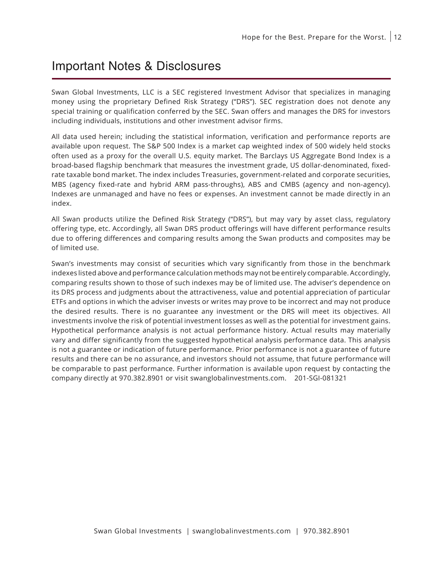### Important Notes & Disclosures

Swan Global Investments, LLC is a SEC registered Investment Advisor that specializes in managing money using the proprietary Defined Risk Strategy ("DRS"). SEC registration does not denote any special training or qualification conferred by the SEC. Swan offers and manages the DRS for investors including individuals, institutions and other investment advisor firms.

All data used herein; including the statistical information, verification and performance reports are available upon request. The S&P 500 Index is a market cap weighted index of 500 widely held stocks often used as a proxy for the overall U.S. equity market. The Barclays US Aggregate Bond Index is a broad-based flagship benchmark that measures the investment grade, US dollar-denominated, fixedrate taxable bond market. The index includes Treasuries, government-related and corporate securities, MBS (agency fixed-rate and hybrid ARM pass-throughs), ABS and CMBS (agency and non-agency). Indexes are unmanaged and have no fees or expenses. An investment cannot be made directly in an index.

All Swan products utilize the Defined Risk Strategy ("DRS"), but may vary by asset class, regulatory offering type, etc. Accordingly, all Swan DRS product offerings will have different performance results due to offering differences and comparing results among the Swan products and composites may be of limited use.

Swan's investments may consist of securities which vary significantly from those in the benchmark indexes listed above and performance calculation methods may not be entirely comparable. Accordingly, comparing results shown to those of such indexes may be of limited use. The adviser's dependence on its DRS process and judgments about the attractiveness, value and potential appreciation of particular ETFs and options in which the adviser invests or writes may prove to be incorrect and may not produce the desired results. There is no guarantee any investment or the DRS will meet its objectives. All investments involve the risk of potential investment losses as well as the potential for investment gains. Hypothetical performance analysis is not actual performance history. Actual results may materially vary and differ significantly from the suggested hypothetical analysis performance data. This analysis is not a guarantee or indication of future performance. Prior performance is not a guarantee of future results and there can be no assurance, and investors should not assume, that future performance will be comparable to past performance. Further information is available upon request by contacting the company directly at 970.382.8901 or visit swanglobalinvestments.com. 201-SGI-081321